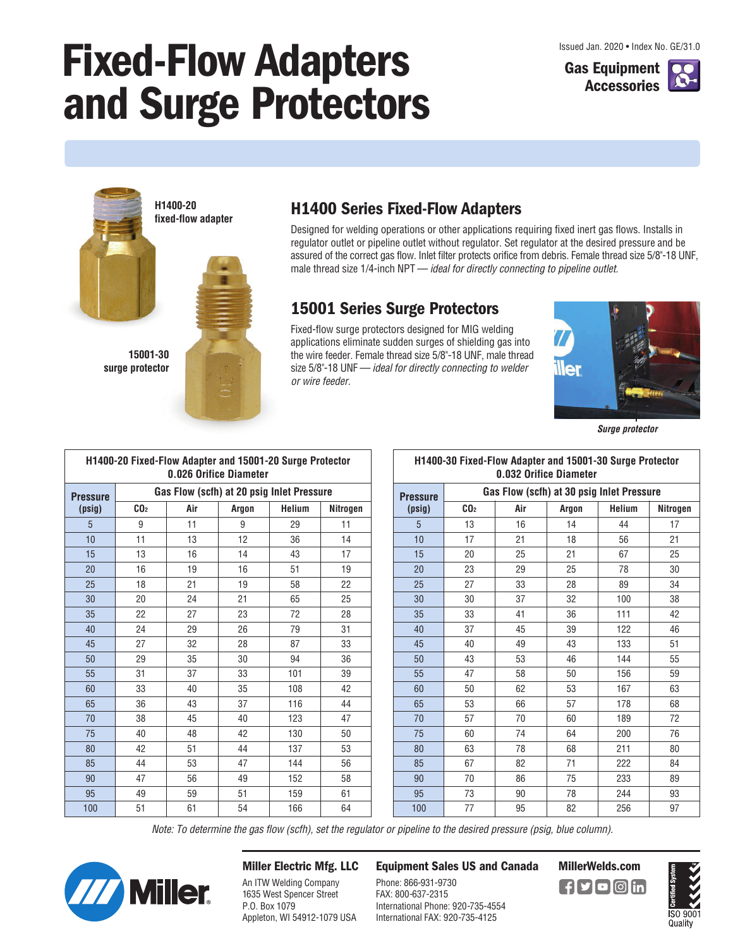# **Fixed-Flow Adapters and Surge Protectors**





**H1400-20 fixed-flow adapter**



#### **15001-30 surge protector**

#### **H1400 Series Fixed-Flow Adapters**

Designed for welding operations or other applications requiring fixed inert gas flows. Installs in regulator outlet or pipeline outlet without regulator. Set regulator at the desired pressure and be assured of the correct gas flow. Inlet filter protects orifice from debris. Female thread size 5/8"-18 UNF, male thread size 1/4-inch NPT — ideal for directly connecting to pipeline outlet.

#### **15001 Series Surge Protectors**

Fixed-flow surge protectors designed for MIG welding applications eliminate sudden surges of shielding gas into the wire feeder. Female thread size 5/8"-18 UNF, male thread size 5/8"-18 UNF - ideal for directly connecting to welder or wire feeder.



**Surge protector**

| H1400-20 Fixed-Flow Adapter and 15001-20 Surge Protector<br>0.026 Orifice Diameter |                                           |     |       |               |          |  |  |  |  |
|------------------------------------------------------------------------------------|-------------------------------------------|-----|-------|---------------|----------|--|--|--|--|
| <b>Pressure</b>                                                                    | Gas Flow (scfh) at 20 psig Inlet Pressure |     |       |               |          |  |  |  |  |
| (psig)                                                                             | CO <sub>2</sub>                           | Air | Argon | <b>Helium</b> | Nitrogen |  |  |  |  |
| 5                                                                                  | 9                                         | 11  | 9     | 29            | 11       |  |  |  |  |
| 10                                                                                 | 11                                        | 13  | 12    | 36            | 14       |  |  |  |  |
| 15                                                                                 | 13                                        | 16  | 14    | 43            | 17       |  |  |  |  |
| 20                                                                                 | 16                                        | 19  | 16    | 51            | 19       |  |  |  |  |
| 25                                                                                 | 18                                        | 21  | 19    | 58            | 22       |  |  |  |  |
| 30                                                                                 | 20                                        | 24  | 21    | 65            | 25       |  |  |  |  |
| 35                                                                                 | 22                                        | 27  | 23    | 72            | 28       |  |  |  |  |
| 40                                                                                 | 24                                        | 29  | 26    | 79            | 31       |  |  |  |  |
| 45                                                                                 | 27                                        | 32  | 28    | 87            | 33       |  |  |  |  |
| 50                                                                                 | 29                                        | 35  | 30    | 94            | 36       |  |  |  |  |
| 55                                                                                 | 31                                        | 37  | 33    | 101           | 39       |  |  |  |  |
| 60                                                                                 | 33                                        | 40  | 35    | 108           | 42       |  |  |  |  |
| 65                                                                                 | 36                                        | 43  | 37    | 116           | 44       |  |  |  |  |
| 70                                                                                 | 38                                        | 45  | 40    | 123           | 47       |  |  |  |  |
| 75                                                                                 | 40                                        | 48  | 42    | 130           | 50       |  |  |  |  |
| 80                                                                                 | 42                                        | 51  | 44    | 137           | 53       |  |  |  |  |
| 85                                                                                 | 44                                        | 53  | 47    | 144           | 56       |  |  |  |  |
| 90                                                                                 | 47                                        | 56  | 49    | 152           | 58       |  |  |  |  |
| 95                                                                                 | 49                                        | 59  | 51    | 159           | 61       |  |  |  |  |
| 100                                                                                | 51                                        | 61  | 54    | 166           | 64       |  |  |  |  |

| H1400-30 Fixed-Flow Adapter and 15001-30 Surge Protector<br>0.032 Orifice Diameter |                                           |     |       |               |          |  |  |  |  |
|------------------------------------------------------------------------------------|-------------------------------------------|-----|-------|---------------|----------|--|--|--|--|
| <b>Pressure</b>                                                                    | Gas Flow (scfh) at 30 psig Inlet Pressure |     |       |               |          |  |  |  |  |
| (psig)                                                                             | CO <sub>2</sub>                           | Air | Argon | <b>Helium</b> | Nitrogen |  |  |  |  |
| 5                                                                                  | 13                                        | 16  | 14    | 44            | 17       |  |  |  |  |
| 10                                                                                 | 17                                        | 21  | 18    | 56            | 21       |  |  |  |  |
| 15                                                                                 | 20                                        | 25  | 21    | 67            | 25       |  |  |  |  |
| 20                                                                                 | 23                                        | 29  | 25    | 78            | 30       |  |  |  |  |
| 25                                                                                 | 27                                        | 33  | 28    | 89            | 34       |  |  |  |  |
| 30                                                                                 | 30                                        | 37  | 32    | 100           | 38       |  |  |  |  |
| 35                                                                                 | 33                                        | 41  | 36    | 111           | 42       |  |  |  |  |
| 40                                                                                 | 37                                        | 45  | 39    | 122           | 46       |  |  |  |  |
| 45                                                                                 | 40                                        | 49  | 43    | 133           | 51       |  |  |  |  |
| 50                                                                                 | 43                                        | 53  | 46    | 144           | 55       |  |  |  |  |
| 55                                                                                 | 47                                        | 58  | 50    | 156           | 59       |  |  |  |  |
| 60                                                                                 | 50                                        | 62  | 53    | 167           | 63       |  |  |  |  |
| 65                                                                                 | 53                                        | 66  | 57    | 178           | 68       |  |  |  |  |
| 70                                                                                 | 57                                        | 70  | 60    | 189           | 72       |  |  |  |  |
| 75                                                                                 | 60                                        | 74  | 64    | 200           | 76       |  |  |  |  |
| 80                                                                                 | 63                                        | 78  | 68    | 211           | 80       |  |  |  |  |
| 85                                                                                 | 67                                        | 82  | 71    | 222           | 84       |  |  |  |  |
| 90                                                                                 | 70                                        | 86  | 75    | 233           | 89       |  |  |  |  |
| 95                                                                                 | 73                                        | 90  | 78    | 244           | 93       |  |  |  |  |
| 100                                                                                | 77                                        | 95  | 82    | 256           | 97       |  |  |  |  |

Note: To determine the gas flow (scfh), set the regulator or pipeline to the desired pressure (psig, blue column).



#### **Miller Electric Mfg. LLC**

An ITW Welding Company 1635 West Spencer Street P.O. Box 1079 Appleton, WI 54912-1079 USA

### **Equipment Sales US and Canada MillerWelds.com**

Phone: 866-931-9730 FAX: 800-637-2315 International Phone: 920-735-4554 International FAX: 920-735-4125